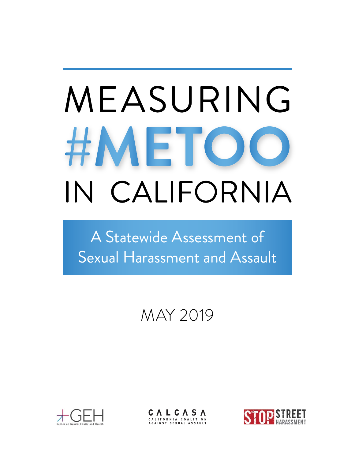# MEASURING #METO IN CALIFORNIA

A Statewide Assessment of Sexual Harassment and Assault

# MAY 2019



CALCASA

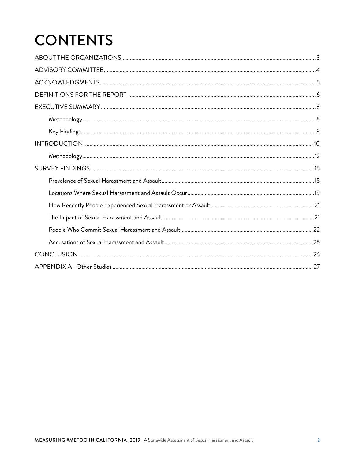# **CONTENTS**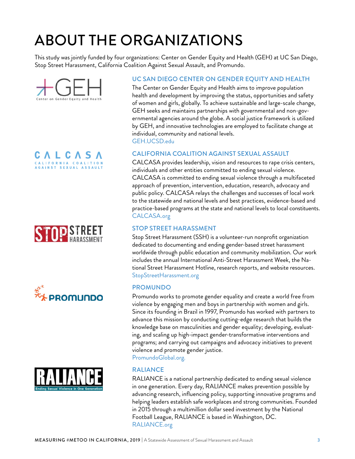# <span id="page-2-0"></span>ABOUT THE ORGANIZATIONS

This study was jointly funded by four organizations: Center on Gender Equity and Health (GEH) at UC San Diego, Stop Street Harassment, California Coalition Against Sexual Assault, and Promundo.



CALCASA CALIFORNIA COALITION AGAINST SEXUAL ASSAULT







#### UC SAN DIEGO CENTER ON GENDER EQUITY AND HEALTH

The Center on Gender Equity and Health aims to improve population health and development by improving the status, opportunities and safety of women and girls, globally. To achieve sustainable and large-scale change, GEH seeks and maintains partnerships with governmental and non-governmental agencies around the globe. A social justice framework is utilized by GEH, and innovative technologies are employed to facilitate change at individual, community and national levels.

GEH[.UCSD.edu](http://geh.UCSD.edu)

#### CALIFORNIA COALITION AGAINST SEXUAL ASSAULT

CALCASA provides leadership, vision and resources to rape crisis centers, individuals and other entities committed to ending sexual violence. CALCASA is committed to ending sexual violence through a multifaceted approach of prevention, intervention, education, research, advocacy and public policy. CALCASA relays the challenges and successes of local work to the statewide and national levels and best practices, evidence-based and practice-based programs at the state and national levels to local constituents. CALCASA[.org](http://www.calcasa.org)

#### STOP STREET HARASSMENT

Stop Street Harassment (SSH) is a volunteer-run nonprofit organization dedicated to documenting and ending gender-based street harassment worldwide through public education and community mobilization. Our work includes the annual International Anti-Street Harassment Week, the National Street Harassment Hotline, research reports, and website resources. S[topStreetHarassment.org](http://www.stopstreetharassment.org)

#### PROMUNDO

Promundo works to promote gender equality and create a world free from violence by engaging men and boys in partnership with women and girls. Since its founding in Brazil in 1997, Promundo has worked with partners to advance this mission by conducting cutting-edge research that builds the knowledge base on masculinities and gender equality; developing, evaluating, and scaling up high-impact gender-transformative interventions and programs; and carrying out campaigns and advocacy initiatives to prevent violence and promote gender justice.

[PromundoGlobal.org.](https://promundoglobal.org)

#### RALIANCE

RALIANCE is a national partnership dedicated to ending sexual violence in one generation. Every day, RALIANCE makes prevention possible by advancing research, influencing policy, supporting innovative programs and helping leaders establish safe workplaces and strong communities. Founded in 2015 through a multimillion dollar seed investment by the National Football League, RALIANCE is based in Washington, DC. RALIANC[E.org](http://www.raliance.org/)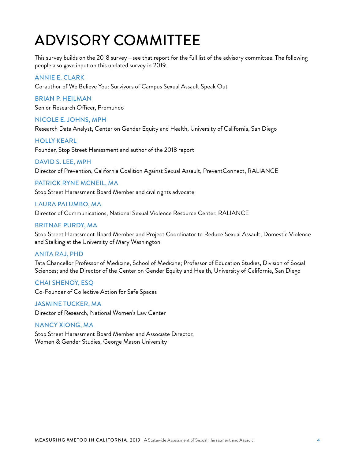# <span id="page-3-0"></span>ADVISORY COMMITTEE

This survey builds on the 2018 survey—see that report for the full list of the advisory committee. The following people also gave input on this updated survey in 2019.

#### ANNIE E. CLARK

Co-author of We Believe You: Survivors of Campus Sexual Assault Speak Out

#### BRIAN P. HEILMAN

Senior Research Officer, Promundo

#### NICOLE E. JOHNS, MPH

Research Data Analyst, Center on Gender Equity and Health, University of California, San Diego

#### HOLLY KEARL

Founder, Stop Street Harassment and author of the 2018 report

#### DAVID S. LEE, MPH

Director of Prevention, California Coalition Against Sexual Assault, PreventConnect, RALIANCE

#### PATRICK RYNE MCNEIL, MA

Stop Street Harassment Board Member and civil rights advocate

#### LAURA PALUMBO, MA

Director of Communications, National Sexual Violence Resource Center, RALIANCE

#### BRITNAE PURDY, MA

Stop Street Harassment Board Member and Project Coordinator to Reduce Sexual Assault, Domestic Violence and Stalking at the University of Mary Washington

#### ANITA RAJ, PHD

Tata Chancellor Professor of Medicine, School of Medicine; Professor of Education Studies, Division of Social Sciences; and the Director of the Center on Gender Equity and Health, University of California, San Diego

CHAI SHENOY, ESQ Co-Founder of Collective Action for Safe Spaces

JASMINE TUCKER, MA Director of Research, National Women's Law Center

#### NANCY XIONG, MA

Stop Street Harassment Board Member and Associate Director, Women & Gender Studies, George Mason University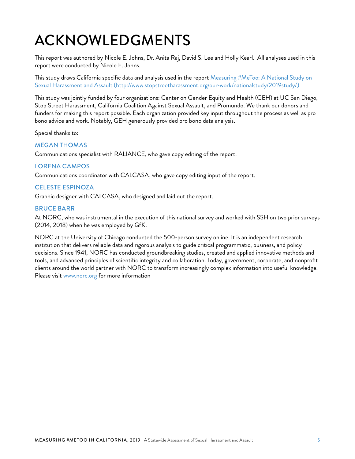# <span id="page-4-0"></span>ACKNOWLEDGMENTS

This report was authored by Nicole E. Johns, Dr. Anita Raj, David S. Lee and Holly Kearl. All analyses used in this report were conducted by Nicole E. Johns.

This study draws California specific data and analysis used in the report Measuring #MeToo: A National Study on Sexual Harassment and Assault (http://www.stopstreetharassment.org/our-work/nationalstudy/2019study/)

This study was jointly funded by four organizations: Center on Gender Equity and Health (GEH) at UC San Diego, Stop Street Harassment, California Coalition Against Sexual Assault, and Promundo. We thank our donors and funders for making this report possible. Each organization provided key input throughout the process as well as pro bono advice and work. Notably, GEH generously provided pro bono data analysis.

Special thanks to:

#### MEGAN THOMAS

Communications specialist with RALIANCE, who gave copy editing of the report.

#### LORENA CAMPOS

Communications coordinator with CALCASA, who gave copy editing input of the report.

#### CELESTE ESPINOZA

Graphic designer with CALCASA, who designed and laid out the report.

#### BRUCE BARR

At NORC, who was instrumental in the execution of this national survey and worked with SSH on two prior surveys (2014, 2018) when he was employed by GfK.

NORC at the University of Chicago conducted the 500-person survey online. It is an independent research institution that delivers reliable data and rigorous analysis to guide critical programmatic, business, and policy decisions. Since 1941, NORC has conducted groundbreaking studies, created and applied innovative methods and tools, and advanced principles of scientific integrity and collaboration. Today, government, corporate, and nonprofit clients around the world partner with NORC to transform increasingly complex information into useful knowledge. Please visit [www.norc.org](http://www.norc.org) for more information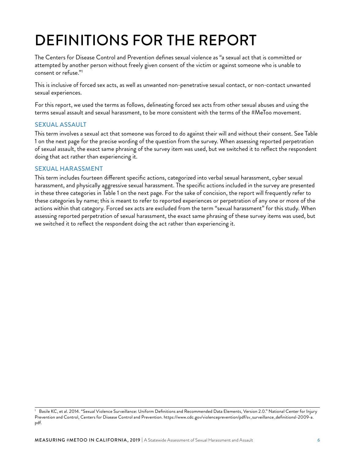# <span id="page-5-0"></span>DEFINITIONS FOR THE REPORT

The Centers for Disease Control and Prevention defines sexual violence as "a sexual act that is committed or attempted by another person without freely given consent of the victim or against someone who is unable to consent or refuse."1

This is inclusive of forced sex acts, as well as unwanted non-penetrative sexual contact, or non-contact unwanted sexual experiences.

For this report, we used the terms as follows, delineating forced sex acts from other sexual abuses and using the terms sexual assault and sexual harassment, to be more consistent with the terms of the #MeToo movement.

#### SEXUAL ASSAULT

This term involves a sexual act that someone was forced to do against their will and without their consent. See Table 1 on the next page for the precise wording of the question from the survey. When assessing reported perpetration of sexual assault, the exact same phrasing of the survey item was used, but we switched it to reflect the respondent doing that act rather than experiencing it.

#### SEXUAL HARASSMENT

This term includes fourteen different specific actions, categorized into verbal sexual harassment, cyber sexual harassment, and physically aggressive sexual harassment. The specific actions included in the survey are presented in these three categories in Table 1 on the next page. For the sake of concision, the report will frequently refer to these categories by name; this is meant to refer to reported experiences or perpetration of any one or more of the actions within that category. Forced sex acts are excluded from the term "sexual harassment" for this study. When assessing reported perpetration of sexual harassment, the exact same phrasing of these survey items was used, but we switched it to reflect the respondent doing the act rather than experiencing it.

<sup>1</sup> Basile KC, et al. 2014. "Sexual Violence Surveillance: Uniform Definitions and Recommended Data Elements, Version 2.0." National Center for Injury Prevention and Control, Centers for Disease Control and Prevention. [https://www.cdc.gov/violenceprevention/pdf/sv\\_surveillance\\_definitionsl-2009-a.](https://www.cdc.gov/violenceprevention/pdf/sv_surveillance_definitionsl-2009-a.pdf) [pdf](https://www.cdc.gov/violenceprevention/pdf/sv_surveillance_definitionsl-2009-a.pdf).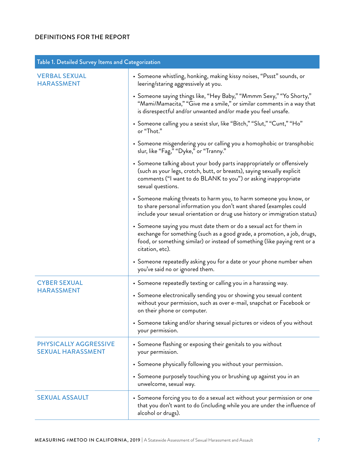#### DEFINITIONS FOR THE REPORT

| Table 1. Detailed Survey Items and Categorization |                                                                                                                                                                                                                                                 |  |
|---------------------------------------------------|-------------------------------------------------------------------------------------------------------------------------------------------------------------------------------------------------------------------------------------------------|--|
| <b>VERBAL SEXUAL</b><br><b>HARASSMENT</b>         | • Someone whistling, honking, making kissy noises, "Pssst" sounds, or<br>leering/staring aggressively at you.                                                                                                                                   |  |
|                                                   | • Someone saying things like, "Hey Baby," "Mmmm Sexy," "Yo Shorty,"<br>"Mami/Mamacita," "Give me a smile," or similar comments in a way that<br>is disrespectful and/or unwanted and/or made you feel unsafe.                                   |  |
|                                                   | • Someone calling you a sexist slur, like "Bitch," "Slut," "Cunt," "Ho"<br>or "Thot."                                                                                                                                                           |  |
|                                                   | • Someone misgendering you or calling you a homophobic or transphobic<br>slur, like "Fag," "Dyke," or "Tranny."                                                                                                                                 |  |
|                                                   | • Someone talking about your body parts inappropriately or offensively<br>(such as your legs, crotch, butt, or breasts), saying sexually explicit<br>comments ("I want to do BLANK to you") or asking inappropriate<br>sexual questions.        |  |
|                                                   | • Someone making threats to harm you, to harm someone you know, or<br>to share personal information you don't want shared (examples could<br>include your sexual orientation or drug use history or immigration status)                         |  |
|                                                   | • Someone saying you must date them or do a sexual act for them in<br>exchange for something (such as a good grade, a promotion, a job, drugs,<br>food, or something similar) or instead of something (like paying rent or a<br>citation, etc). |  |
|                                                   | • Someone repeatedly asking you for a date or your phone number when<br>you've said no or ignored them.                                                                                                                                         |  |
| <b>CYBER SEXUAL</b><br><b>HARASSMENT</b>          | • Someone repeatedly texting or calling you in a harassing way.                                                                                                                                                                                 |  |
|                                                   | • Someone electronically sending you or showing you sexual content<br>without your permission, such as over e-mail, snapchat or Facebook or<br>on their phone or computer.                                                                      |  |
|                                                   | • Someone taking and/or sharing sexual pictures or videos of you without<br>your permission.                                                                                                                                                    |  |
| PHYSICALLY AGGRESSIVE<br><b>SEXUAL HARASSMENT</b> | • Someone flashing or exposing their genitals to you without<br>your permission.                                                                                                                                                                |  |
|                                                   | • Someone physically following you without your permission.                                                                                                                                                                                     |  |
|                                                   | • Someone purposely touching you or brushing up against you in an<br>unwelcome, sexual way.                                                                                                                                                     |  |
| <b>SEXUAL ASSAULT</b>                             | • Someone forcing you to do a sexual act without your permission or one<br>that you don't want to do (including while you are under the influence of<br>alcohol or drugs).                                                                      |  |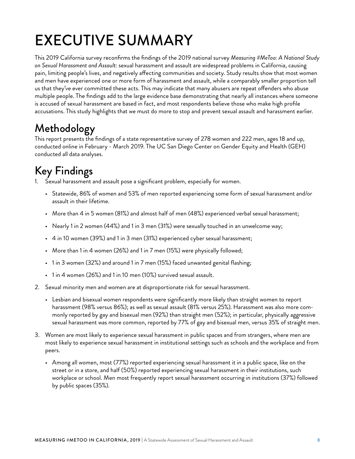# <span id="page-7-0"></span>EXECUTIVE SUMMARY

This 2019 California survey reconfirms the findings of the 2019 national survey *Measuring #MeToo: A National Study on Sexual Harassment and Assault:* sexual harassment and assault are widespread problems in California, causing pain, limiting people's lives, and negatively affecting communities and society. Study results show that most women and men have experienced one or more form of harassment and assault, while a comparably smaller proportion tell us that they've ever committed these acts. This may indicate that many abusers are repeat offenders who abuse multiple people. The findings add to the large evidence base demonstrating that nearly all instances where someone is accused of sexual harassment are based in fact, and most respondents believe those who make high profile accusations. This study highlights that we must do more to stop and prevent sexual assault and harassment earlier.

# Methodology

This report presents the findings of a state representative survey of 278 women and 222 men, ages 18 and up, conducted online in February - March 2019. The UC San Diego Center on Gender Equity and Health (GEH) conducted all data analyses.

# Key Findings

- 1. Sexual harassment and assault pose a significant problem, especially for women.
	- Statewide, 86% of women and 53% of men reported experiencing some form of sexual harassment and/or assault in their lifetime.
	- More than 4 in 5 women (81%) and almost half of men (48%) experienced verbal sexual harassment;
	- Nearly 1 in 2 women (44%) and 1 in 3 men (31%) were sexually touched in an unwelcome way;
	- 4 in 10 women (39%) and 1 in 3 men (31%) experienced cyber sexual harassment;
	- More than 1 in 4 women (26%) and 1 in 7 men (15%) were physically followed;
	- 1 in 3 women (32%) and around 1 in 7 men (15%) faced unwanted genital flashing;
	- 1 in 4 women (26%) and 1 in 10 men (10%) survived sexual assault.
- 2. Sexual minority men and women are at disproportionate risk for sexual harassment.
	- Lesbian and bisexual women respondents were significantly more likely than straight women to report harassment (98% versus 86%); as well as sexual assault (81% versus 25%). Harassment was also more commonly reported by gay and bisexual men (92%) than straight men (52%); in particular, physically aggressive sexual harassment was more common, reported by 77% of gay and bisexual men, versus 35% of straight men.
- 3. Women are most likely to experience sexual harassment in public spaces and from strangers, where men are most likely to experience sexual harassment in institutional settings such as schools and the workplace and from peers.
	- Among all women, most (77%) reported experiencing sexual harassment it in a public space, like on the street or in a store, and half (50%) reported experiencing sexual harassment in their institutions, such workplace or school. Men most frequently report sexual harassment occurring in institutions (37%) followed by public spaces (35%).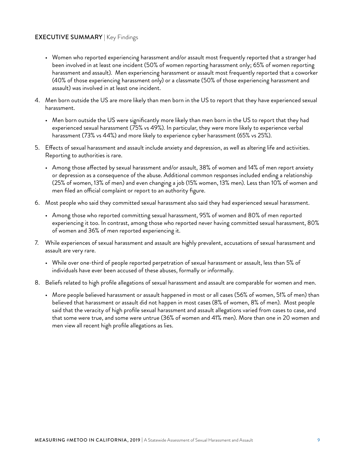#### EXECUTIVE SUMMARY | Key Findings

- Women who reported experiencing harassment and/or assault most frequently reported that a stranger had been involved in at least one incident (50% of women reporting harassment only; 65% of women reporting harassment and assault). Men experiencing harassment or assault most frequently reported that a coworker (40% of those experiencing harassment only) or a classmate (50% of those experiencing harassment and assault) was involved in at least one incident.
- 4. Men born outside the US are more likely than men born in the US to report that they have experienced sexual harassment.
	- Men born outside the US were significantly more likely than men born in the US to report that they had experienced sexual harassment (75% vs 49%). In particular, they were more likely to experience verbal harassment (73% vs 44%) and more likely to experience cyber harassment (65% vs 25%).
- 5. Effects of sexual harassment and assault include anxiety and depression, as well as altering life and activities. Reporting to authorities is rare.
	- Among those affected by sexual harassment and/or assault, 38% of women and 14% of men report anxiety or depression as a consequence of the abuse. Additional common responses included ending a relationship (25% of women, 13% of men) and even changing a job (15% women, 13% men). Less than 10% of women and men filed an official complaint or report to an authority figure.
- 6. Most people who said they committed sexual harassment also said they had experienced sexual harassment.
	- Among those who reported committing sexual harassment, 95% of women and 80% of men reported experiencing it too. In contrast, among those who reported never having committed sexual harassment, 80% of women and 36% of men reported experiencing it.
- 7. While experiences of sexual harassment and assault are highly prevalent, accusations of sexual harassment and assault are very rare.
	- While over one-third of people reported perpetration of sexual harassment or assault, less than 5% of individuals have ever been accused of these abuses, formally or informally.
- 8. Beliefs related to high profile allegations of sexual harassment and assault are comparable for women and men.
	- More people believed harassment or assault happened in most or all cases (56% of women, 51% of men) than believed that harassment or assault did not happen in most cases (8% of women, 8% of men). Most people said that the veracity of high profile sexual harassment and assault allegations varied from cases to case, and that some were true, and some were untrue (36% of women and 41% men). More than one in 20 women and men view all recent high profile allegations as lies.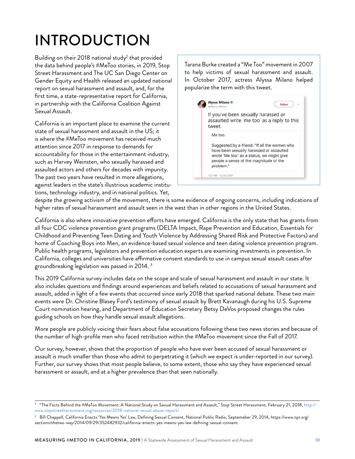# <span id="page-9-0"></span>INTRODUCTION

Building on their 2018 national study<sup>2</sup> that provided the data behind people's #MeToo stories, in 2019, Stop Street Harassment and The UC San Diego Center on Gender Equity and Health released an updated national report on sexual harassment and assault, and, for the first time, a state-representative report for California, in partnership with the California Coalition Against Sexual Assault.

California is an important place to examine the current state of sexual harassment and assault in the US; it is where the #MeToo movement has received much attention since 2017 in response to demands for accountability for those in the entertainment industry, such as Harvey Weinsten, who sexually harassed and assaulted actors and others for decades with impunity. The past two years have resulted in more allegations, against leaders in the state's illustrious academic institutions, technology industry, and in national politics. Yet,

Tarana Burke created a "Me Too" movement in 2007 to help victims of sexual harassment and assault. In October 2017, actress Alyssa Milano helped popularize the term with this tweet.

| If you've been sexually harassed or<br>assaulted write 'me too' as a reply to this<br>tweet.                                                                                                             |  |
|----------------------------------------------------------------------------------------------------------------------------------------------------------------------------------------------------------|--|
| Me too.<br>Suggested by a friend: "If all the women who<br>have been sexually harassed or assaulted<br>wrote 'Me too.' as a status, we might give<br>people a sense of the magnitude of the<br>problem." |  |

despite the growing activism of the movement, there is some evidence of ongoing concerns, including indications of higher rates of sexual harassment and assault seen in the west than in other regions in the United States.

California is also where innovative prevention efforts have emerged. California is the only state that has grants from all four CDC violence prevention grant programs (DELTA Impact, Rape Prevention and Education, Essentials for Childhood and Preventing Teen Dating and Youth Violence by Addressing Shared Risk and Protective Factors) and home of Coaching Boys into Men, an evidence-based sexual violence and teen dating violence prevention program. Public health programs, legislators and prevention education experts are examining investments in prevention. In California, colleges and universities have affirmative consent standards to use in campus sexual assault cases after groundbreaking legislation was passed in 2014. 3

This 2019 California survey includes data on the scope and scale of sexual harassment and assault in our state. It also includes questions and findings around experiences and beliefs related to accusations of sexual harassment and assault, added in light of a few events that occurred since early 2018 that sparked national debate. These two main events were Dr. Christine Blasey Ford's testimony of sexual assault by Brett Kavanaugh during his U.S. Supreme Court nomination hearing, and Department of Education Secretary Betsy DeVos proposed changes the rules guiding schools on how they handle sexual assault allegations.

More people are publicly voicing their fears about false accusations following these two news stories and because of the number of high-profile men who faced retribution within the #MeToo movement since the Fall of 2017.

Our survey, however, shows that the proportion of people who have ever been accused of sexual harassment or assault is much smaller than those who admit to perpetrating it (which we expect is under-reported in our survey). Further, our survey shows that most people believe, to some extent, those who say they have experienced sexual harassment or assault, and at a higher prevalence than that seen nationally.

<sup>&</sup>lt;sup>2</sup> "The Facts Behind the #MeToo Movement: A National Study on Sexual Harassment and Assault," Stop Street Harassment, February 21, 2018, [http://](http://www.stopstreetharassment.org/resources/2018-national-sexual-abuse-report/) [www.stopstreetharassment.org/resources/2018-national-sexual-abuse-report/](http://www.stopstreetharassment.org/resources/2018-national-sexual-abuse-report/).

<sup>3</sup> Bill Chappell, California Enacts 'Yes Means Yes' Law, Defining Sexual Consent, National Public Radio, Septemeber 29, 2014, https://www.npr.org/ sections/thetwo-way/2014/09/29/352482932/california-enacts-yes-means-yes-law-defining-sexual-consent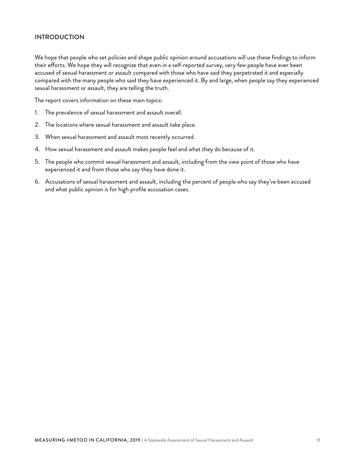#### INTRODUCTION

We hope that people who set policies and shape public opinion around accusations will use these findings to inform their efforts. We hope they will recognize that even in a self-reported survey, very few people have ever been accused of sexual harassment or assault compared with those who have said they perpetrated it and especially compared with the many people who said they have experienced it. By and large, when people say they experienced sexual harassment or assault, they are telling the truth.

The report covers information on these main topics:

- 1. The prevalence of sexual harassment and assault overall.
- 2. The locations where sexual harassment and assault take place.
- 3. When sexual harassment and assault most recently occurred.
- 4. How sexual harassment and assault makes people feel and what they do because of it.
- 5. The people who commit sexual harassment and assault, including from the view point of those who have experienced it and from those who say they have done it.
- 6. Accusations of sexual harassment and assault, including the percent of people who say they've been accused and what public opinion is for high profile accusation cases.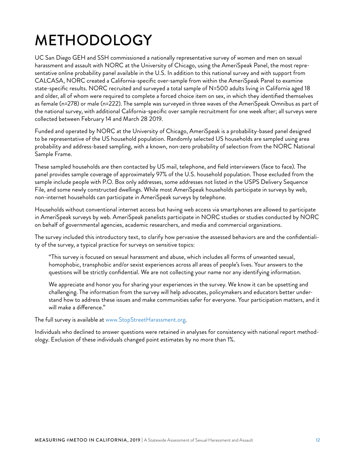# <span id="page-11-0"></span>METHODOLOGY

UC San Diego GEH and SSH commissioned a nationally representative survey of women and men on sexual harassment and assault with NORC at the University of Chicago, using the AmeriSpeak Panel, the most representative online probability panel available in the U.S. In addition to this national survey and with support from CALCASA, NORC created a California-specific over-sample from within the AmeriSpeak Panel to examine state-specific results. NORC recruited and surveyed a total sample of N=500 adults living in California aged 18 and older, all of whom were required to complete a forced choice item on sex, in which they identified themselves as female (n=278) or male (n=222). The sample was surveyed in three waves of the AmeriSpeak Omnibus as part of the national survey, with additional California-specific over sample recruitment for one week after; all surveys were collected between February 14 and March 28 2019.

Funded and operated by NORC at the University of Chicago, AmeriSpeak is a probability-based panel designed to be representative of the US household population. Randomly selected US households are sampled using area probability and address-based sampling, with a known, non-zero probability of selection from the NORC National Sample Frame.

These sampled households are then contacted by US mail, telephone, and field interviewers (face to face). The panel provides sample coverage of approximately 97% of the U.S. household population. Those excluded from the sample include people with P.O. Box only addresses, some addresses not listed in the USPS Delivery Sequence File, and some newly constructed dwellings. While most AmeriSpeak households participate in surveys by web, non-internet households can participate in AmeriSpeak surveys by telephone.

Households without conventional internet access but having web access via smartphones are allowed to participate in AmeriSpeak surveys by web. AmeriSpeak panelists participate in NORC studies or studies conducted by NORC on behalf of governmental agencies, academic researchers, and media and commercial organizations.

The survey included this introductory text, to clarify how pervasive the assessed behaviors are and the confidentiality of the survey, a typical practice for surveys on sensitive topics:

"This survey is focused on sexual harassment and abuse, which includes all forms of unwanted sexual, homophobic, transphobic and/or sexist experiences across all areas of people's lives. Your answers to the questions will be strictly confidential. We are not collecting your name nor any identifying information.

We appreciate and honor you for sharing your experiences in the survey. We know it can be upsetting and challenging. The information from the survey will help advocates, policymakers and educators better understand how to address these issues and make communities safer for everyone. Your participation matters, and it will make a difference."

The full survey is available at [www.StopStreetHarassment.org.](http://www.stopstreetharassment.org)

Individuals who declined to answer questions were retained in analyses for consistency with national report methodology. Exclusion of these individuals changed point estimates by no more than 1%.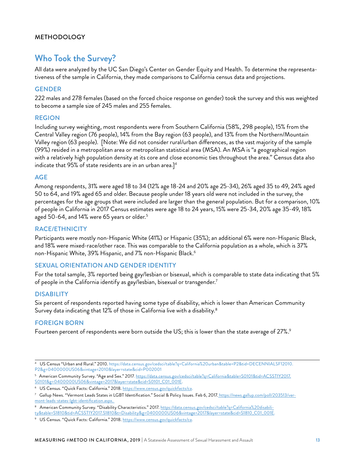#### METHODOLOGY

### Who Took the Survey?

All data were analyzed by the UC San Diego's Center on Gender Equity and Health. To determine the representativeness of the sample in California, they made comparisons to California census data and projections.

#### GENDER

222 males and 278 females (based on the forced choice response on gender) took the survey and this was weighted to become a sample size of 245 males and 255 females.

#### REGION

Including survey weighting, most respondents were from Southern California (58%, 298 people), 15% from the Central Valley region (76 people), 14% from the Bay region (63 people), and 13% from the Northern/Mountain Valley region (63 people). [Note: We did not consider rural/urban differences, as the vast majority of the sample (99%) resided in a metropolitan area or metropolitan statistical area (MSA). An MSA is "a geographical region with a relatively high population density at its core and close economic ties throughout the area." Census data also indicate that 95% of state residents are in an urban area. $]^{4}$ 

#### AGE

Among respondents, 31% were aged 18 to 34 (12% age 18-24 and 20% age 25-34), 26% aged 35 to 49, 24% aged 50 to 64, and 19% aged 65 and older. Because people under 18 years old were not included in the survey, the percentages for the age groups that were included are larger than the general population. But for a comparison, 10% of people in California in 2017 Census estimates were age 18 to 24 years, 15% were 25-34, 20% age 35-49, 18% aged 50-64, and 14% were 65 years or older.<sup>5</sup>

#### RACE/ETHNICITY

Participants were mostly non-Hispanic White (41%) or Hispanic (35%); an additional 6% were non-Hispanic Black, and 18% were mixed-race/other race. This was comparable to the California population as a whole, which is 37% non-Hispanic White, 39% Hispanic, and 7% non-Hispanic Black.6

#### SEXUAL ORIENTATION AND GENDER IDENTITY

For the total sample, 3% reported being gay/lesbian or bisexual, which is comparable to state data indicating that 5% of people in the California identify as gay/lesbian, bisexual or transgender.<sup>7</sup>

#### **DISABILITY**

Six percent of respondents reported having some type of disability, which is lower than American Community Survey data indicating that 12% of those in California live with a disability.<sup>8</sup>

#### FOREIGN BORN

Fourteen percent of respondents were born outside the US; this is lower than the state average of 27%.<sup>9</sup>

<sup>4</sup> US Census "Urban and Rural." 2010. [https://data.census.gov/cedsci/table?q=California%20urban&table=P2&tid=DECENNIALSF12010.](https://data.census.gov/cedsci/table?q=California%20urban&table=P2&tid=DECENNIALSF12010.P2&g=0400000US06&vintage=2010&layer=state&cid=P002001) [P2&g=0400000US06&vintage=2010&layer=state&cid=P002001](https://data.census.gov/cedsci/table?q=California%20urban&table=P2&tid=DECENNIALSF12010.P2&g=0400000US06&vintage=2010&layer=state&cid=P002001)

<sup>5</sup> American Community Survey. "Age and Sex." 2017. https://data.census.gov/cedsci/table?q=California&table=S0101&tid=ACSST1Y2017. S0101&g=0400000US06&vintage=2017&layer=state&cid=S0101\_C01\_001E.

<sup>&</sup>lt;sup>6</sup> US Census. "Quick Facts: California." 2018. https://www.census.gov/quickfacts/ca.

<sup>&</sup>lt;sup>7</sup> Gallup News. "Vermont Leads States in LGBT Identification." Social & Policy Issues. Feb 6, 2017. https://news.gallup.com/poll/203513/vermont-leads-states-lgbt-identification.aspx.

<sup>8</sup> American Community Survey. "Disability Characteristics." 2017. https://data.census.gov/cedsci/table?q=California%20disabili-

ty&table=S1810&tid=ACSST1Y2017.S1810&t=Disability&g=0400000US06&vintage=2017&layer=state&cid=S1810\_C01\_001E.

<sup>&</sup>lt;sup>9</sup> US Census. "Quick Facts: California." 2018. https://www.census.gov/quickfacts/ca.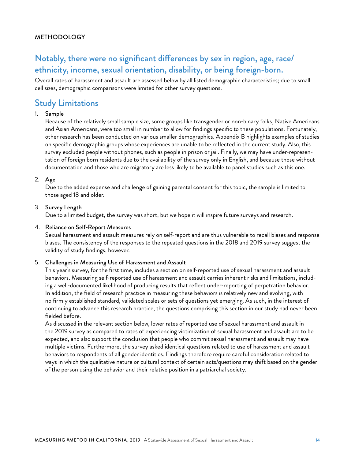#### METHODOLOGY

# Notably, there were no significant differences by sex in region, age, race/ ethnicity, income, sexual orientation, disability, or being foreign-born.

Overall rates of harassment and assault are assessed below by all listed demographic characteristics; due to small cell sizes, demographic comparisons were limited for other survey questions.

### Study Limitations

#### 1. Sample

Because of the relatively small sample size, some groups like transgender or non-binary folks, Native Americans and Asian Americans, were too small in number to allow for findings specific to these populations. Fortunately, other research has been conducted on various smaller demographics. Appendix B highlights examples of studies on specific demographic groups whose experiences are unable to be reflected in the current study. Also, this survey excluded people without phones, such as people in prison or jail. Finally, we may have under-representation of foreign born residents due to the availability of the survey only in English, and because those without documentation and those who are migratory are less likely to be available to panel studies such as this one.

#### 2. Age

Due to the added expense and challenge of gaining parental consent for this topic, the sample is limited to those aged 18 and older.

#### 3. Survey Length

Due to a limited budget, the survey was short, but we hope it will inspire future surveys and research.

#### 4. Reliance on Self-Report Measures

Sexual harassment and assault measures rely on self-report and are thus vulnerable to recall biases and response biases. The consistency of the responses to the repeated questions in the 2018 and 2019 survey suggest the validity of study findings, however.

#### 5. Challenges in Measuring Use of Harassment and Assault

This year's survey, for the first time, includes a section on self-reported use of sexual harassment and assault behaviors. Measuring self-reported use of harassment and assault carries inherent risks and limitations, including a well-documented likelihood of producing results that reflect under-reporting of perpetration behavior. In addition, the field of research practice in measuring these behaviors is relatively new and evolving, with no firmly established standard, validated scales or sets of questions yet emerging. As such, in the interest of continuing to advance this research practice, the questions comprising this section in our study had never been fielded before.

As discussed in the relevant section below, lower rates of reported use of sexual harassment and assault in the 2019 survey as compared to rates of experiencing victimization of sexual harassment and assault are to be expected, and also support the conclusion that people who commit sexual harassment and assault may have multiple victims. Furthermore, the survey asked identical questions related to use of harassment and assault behaviors to respondents of all gender identities. Findings therefore require careful consideration related to ways in which the qualitative nature or cultural context of certain acts/questions may shift based on the gender of the person using the behavior and their relative position in a patriarchal society.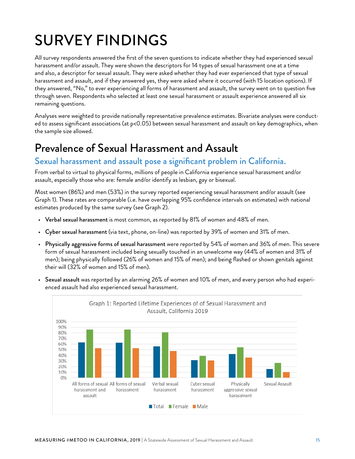# <span id="page-14-0"></span>SURVEY FINDINGS

All survey respondents answered the first of the seven questions to indicate whether they had experienced sexual harassment and/or assault. They were shown the descriptors for 14 types of sexual harassment one at a time and also, a descriptor for sexual assault. They were asked whether they had ever experienced that type of sexual harassment and assault, and if they answered yes, they were asked where it occurred (with 15 location options). If they answered, "No," to ever experiencing all forms of harassment and assault, the survey went on to question five through seven. Respondents who selected at least one sexual harassment or assault experience answered all six remaining questions.

Analyses were weighted to provide nationally representative prevalence estimates. Bivariate analyses were conducted to assess significant associations (at p<0.05) between sexual harassment and assault on key demographics, when the sample size allowed.

# Prevalence of Sexual Harassment and Assault

### Sexual harassment and assault pose a significant problem in California.

From verbal to virtual to physical forms, millions of people in California experience sexual harassment and/or assault, especially those who are: female and/or identify as lesbian, gay or bisexual.

Most women (86%) and men (53%) in the survey reported experiencing sexual harassment and/or assault (see Graph 1). These rates are comparable (i.e. have overlapping 95% confidence intervals on estimates) with national estimates produced by the same survey (see Graph 2).

- Verbal sexual harassment is most common, as reported by 81% of women and 48% of men.
- Cyber sexual harassment (via text, phone, on-line) was reported by 39% of women and 31% of men.
- Physically aggressive forms of sexual harassment were reported by 54% of women and 36% of men. This severe form of sexual harassment included being sexually touched in an unwelcome way (44% of women and 31% of men); being physically followed (26% of women and 15% of men); and being flashed or shown genitals against their will (32% of women and 15% of men).
- Sexual assault was reported by an alarming 26% of women and 10% of men, and every person who had experienced assault had also experienced sexual harassment.

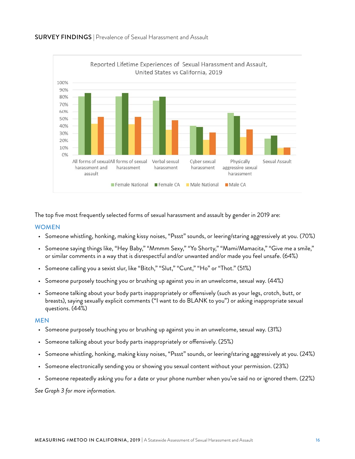



The top five most frequently selected forms of sexual harassment and assault by gender in 2019 are:

#### WOMEN

- Someone whistling, honking, making kissy noises, "Pssst" sounds, or leering/staring aggressively at you. (70%)
- Someone saying things like, "Hey Baby," "Mmmm Sexy," "Yo Shorty," "Mami/Mamacita," "Give me a smile," or similar comments in a way that is disrespectful and/or unwanted and/or made you feel unsafe. (64%)
- Someone calling you a sexist slur, like "Bitch," "Slut," "Cunt," "Ho" or "Thot." (51%)
- Someone purposely touching you or brushing up against you in an unwelcome, sexual way. (44%)
- Someone talking about your body parts inappropriately or offensively (such as your legs, crotch, butt, or breasts), saying sexually explicit comments ("I want to do BLANK to you") or asking inappropriate sexual questions. (44%)

#### MEN

- Someone purposely touching you or brushing up against you in an unwelcome, sexual way. (31%)
- Someone talking about your body parts inappropriately or offensively. (25%)
- Someone whistling, honking, making kissy noises, "Pssst" sounds, or leering/staring aggressively at you. (24%)
- Someone electronically sending you or showing you sexual content without your permission. (23%)
- Someone repeatedly asking you for a date or your phone number when you've said no or ignored them. (22%)

*See Graph 3 for more information.*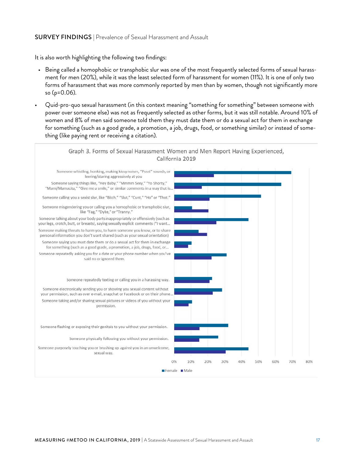#### SURVEY FINDINGS | Prevalence of Sexual Harassment and Assault

It is also worth highlighting the following two findings:

- Being called a homophobic or transphobic slur was one of the most frequently selected forms of sexual harassment for men (20%), while it was the least selected form of harassment for women (11%). It is one of only two forms of harassment that was more commonly reported by men than by women, though not significantly more so (p=0.06).
- Quid-pro-quo sexual harassment (in this context meaning "something for something" between someone with power over someone else) was not as frequently selected as other forms, but it was still notable. Around 10% of women and 8% of men said someone told them they must date them or do a sexual act for them in exchange for something (such as a good grade, a promotion, a job, drugs, food, or something similar) or instead of something (like paying rent or receiving a citation).

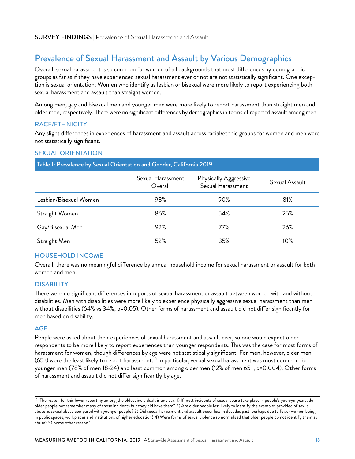# Prevalence of Sexual Harassment and Assault by Various Demographics

Overall, sexual harassment is so common for women of all backgrounds that most differences by demographic groups as far as if they have experienced sexual harassment ever or not are not statistically significant. One exception is sexual orientation; Women who identify as lesbian or bisexual were more likely to report experiencing both sexual harassment and assault than straight women.

Among men, gay and bisexual men and younger men were more likely to report harassment than straight men and older men, respectively. There were no significant differences by demographics in terms of reported assault among men.

#### RACE/ETHNICITY

Any slight differences in experiences of harassment and assault across racial/ethnic groups for women and men were not statistically significant.

#### SEXUAL ORIENTATION

| Table 1. I revalence by Sexual Orientation and Oenuer, Cambrina ZOTZ |                              |                                            |                |
|----------------------------------------------------------------------|------------------------------|--------------------------------------------|----------------|
|                                                                      | Sexual Harassment<br>Overall | Physically Aggressive<br>Sexual Harassment | Sexual Assault |
| Lesbian/Bisexual Women                                               | 98%                          | 90%                                        | 81%            |
| Straight Women                                                       | 86%                          | 54%                                        | 25%            |
| Gay/Bisexual Men                                                     | 92%                          | 77%                                        | 26%            |
| Straight Men                                                         | 52%                          | 35%                                        | 10%            |

 $T = C_1$ : Parnia 2019

#### HOUSEHOLD INCOME

Overall, there was no meaningful difference by annual household income for sexual harassment or assault for both women and men.

#### **DISABILITY**

There were no significant differences in reports of sexual harassment or assault between women with and without disabilities. Men with disabilities were more likely to experience physically aggressive sexual harassment than men without disabilities (64% vs 34%, p=0.05). Other forms of harassment and assault did not differ significantly for men based on disability.

#### AGE

People were asked about their experiences of sexual harassment and assault ever, so one would expect older respondents to be more likely to report experiences than younger respondents. This was the case for most forms of harassment for women, though differences by age were not statistically significant. For men, however, older men (65+) were the least likely to report harassment.<sup>10</sup> In particular, verbal sexual harassment was most common for younger men (78% of men 18-24) and least common among older men (12% of men 65+, p=0.004). Other forms of harassment and assault did not differ significantly by age.

<sup>&</sup>lt;sup>10</sup> The reason for this lower reporting among the oldest individuals is unclear: 1) If most incidents of sexual abuse take place in people's younger years, do older people not remember many of those incidents but they did have them? 2) Are older people less likely to identify the examples provided of sexual abuse as sexual abuse compared with younger people? 3) Did sexual harassment and assault occur less in decades past, perhaps due to fewer women being in public spaces, workplaces and institutions of higher education? 4) Were forms of sexual violence so normalized that older people do not identify them as abuse? 5) Some other reason?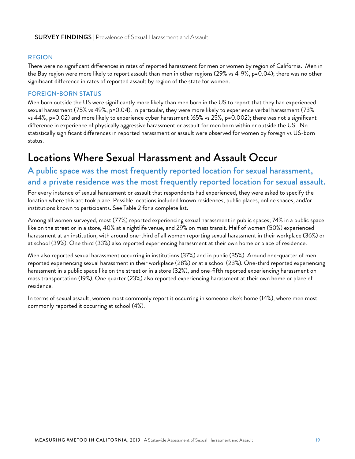#### <span id="page-18-0"></span>REGION

There were no significant differences in rates of reported harassment for men or women by region of California. Men in the Bay region were more likely to report assault than men in other regions (29% vs 4-9%, p=0.04); there was no other significant difference in rates of reported assault by region of the state for women.

#### FOREIGN-BORN STATUS

Men born outside the US were significantly more likely than men born in the US to report that they had experienced sexual harassment (75% vs 49%, p=0.04). In particular, they were more likely to experience verbal harassment (73% vs 44%, p=0.02) and more likely to experience cyber harassment (65% vs 25%, p=0.002); there was not a significant difference in experience of physically aggressive harassment or assault for men born within or outside the US. No statistically significant differences in reported harassment or assault were observed for women by foreign vs US-born status.

# Locations Where Sexual Harassment and Assault Occur

### A public space was the most frequently reported location for sexual harassment, and a private residence was the most frequently reported location for sexual assault.

For every instance of sexual harassment or assault that respondents had experienced, they were asked to specify the location where this act took place. Possible locations included known residences, public places, online spaces, and/or institutions known to participants. See Table 2 for a complete list.

Among all women surveyed, most (77%) reported experiencing sexual harassment in public spaces; 74% in a public space like on the street or in a store, 40% at a nightlife venue, and 29% on mass transit. Half of women (50%) experienced harassment at an institution, with around one-third of all women reporting sexual harassment in their workplace (36%) or at school (39%). One third (33%) also reported experiencing harassment at their own home or place of residence.

Men also reported sexual harassment occurring in institutions (37%) and in public (35%). Around one-quarter of men reported experiencing sexual harassment in their workplace (28%) or at a school (23%). One-third reported experiencing harassment in a public space like on the street or in a store (32%), and one-fifth reported experiencing harassment on mass transportation (19%). One quarter (23%) also reported experiencing harassment at their own home or place of residence.

In terms of sexual assault, women most commonly report it occurring in someone else's home (14%), where men most commonly reported it occurring at school (4%).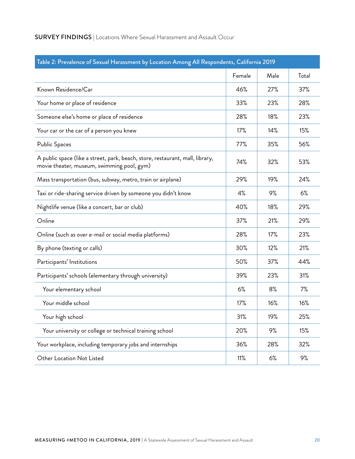| <b>SURVEY FINDINGS</b>   Locations Where Sexual Harassment and Assault Occur |
|------------------------------------------------------------------------------|
|------------------------------------------------------------------------------|

| Table 2: Prevalence of Sexual Harassment by Location Among All Respondents, California 2019                                 |        |      |       |
|-----------------------------------------------------------------------------------------------------------------------------|--------|------|-------|
|                                                                                                                             | Female | Male | Total |
| Known Residence/Car                                                                                                         | 46%    | 27%  | 37%   |
| Your home or place of residence                                                                                             | 33%    | 23%  | 28%   |
| Someone else's home or place of residence                                                                                   | 28%    | 18%  | 23%   |
| Your car or the car of a person you knew                                                                                    | 17%    | 14%  | 15%   |
| <b>Public Spaces</b>                                                                                                        | 77%    | 35%  | 56%   |
| A public space (like a street, park, beach, store, restaurant, mall, library,<br>movie theater, museum, swimming pool, gym) | 74%    | 32%  | 53%   |
| Mass transportation (bus, subway, metro, train or airplane)                                                                 | 29%    | 19%  | 24%   |
| Taxi or ride-sharing service driven by someone you didn't know                                                              | 4%     | 9%   | 6%    |
| Nightlife venue (like a concert, bar or club)                                                                               | 40%    | 18%  | 29%   |
| Online                                                                                                                      | 37%    | 21%  | 29%   |
| Online (such as over e-mail or social media platforms)                                                                      | 28%    | 17%  | 23%   |
| By phone (texting or calls)                                                                                                 | 30%    | 12%  | 21%   |
| Participants' Institutions                                                                                                  | 50%    | 37%  | 44%   |
| Participants' schools (elementary through university)                                                                       | 39%    | 23%  | 31%   |
| Your elementary school                                                                                                      | 6%     | 8%   | 7%    |
| Your middle school                                                                                                          | 17%    | 16%  | 16%   |
| Your high school                                                                                                            | 31%    | 19%  | 25%   |
| Your university or college or technical training school                                                                     | 20%    | 9%   | 15%   |
| Your workplace, including temporary jobs and internships                                                                    | 36%    | 28%  | 32%   |
| Other Location Not Listed                                                                                                   | 11%    | 6%   | 9%    |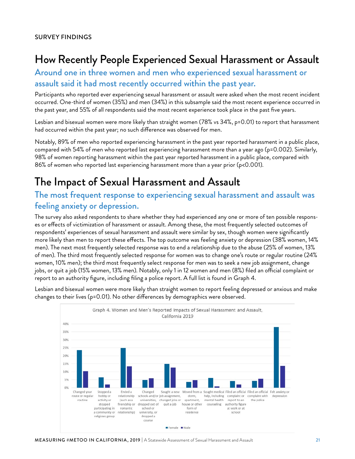# <span id="page-20-0"></span>How Recently People Experienced Sexual Harassment or Assault

### Around one in three women and men who experienced sexual harassment or assault said it had most recently occurred within the past year.

Participants who reported ever experiencing sexual harassment or assault were asked when the most recent incident occurred. One-third of women (35%) and men (34%) in this subsample said the most recent experience occurred in the past year, and 55% of all respondents said the most recent experience took place in the past five years.

Lesbian and bisexual women were more likely than straight women (78% vs 34%, p=0.01) to report that harassment had occurred within the past year; no such difference was observed for men.

Notably, 89% of men who reported experiencing harassment in the past year reported harassment in a public place, compared with 54% of men who reported last experiencing harassment more than a year ago (p=0.002). Similarly, 98% of women reporting harassment within the past year reported harassment in a public place, compared with 86% of women who reported last experiencing harassment more than a year prior (p<0.001).

# The Impact of Sexual Harassment and Assault

## The most frequent response to experiencing sexual harassment and assault was feeling anxiety or depression.

The survey also asked respondents to share whether they had experienced any one or more of ten possible responses or effects of victimization of harassment or assault. Among these, the most frequently selected outcomes of respondents' experiences of sexual harassment and assault were similar by sex, though women were significantly more likely than men to report these effects. The top outcome was feeling anxiety or depression (38% women, 14% men). The next most frequently selected response was to end a relationship due to the abuse (25% of women, 13% of men). The third most frequently selected response for women was to change one's route or regular routine (24% women, 10% men); the third most frequently select response for men was to seek a new job assignment, change jobs, or quit a job (15% women, 13% men). Notably, only 1 in 12 women and men (8%) filed an official complaint or report to an authority figure, including filing a police report. A full list is found in Graph 4.

Lesbian and bisexual women were more likely than straight women to report feeling depressed or anxious and make changes to their lives (p=0.01). No other differences by demographics were observed.

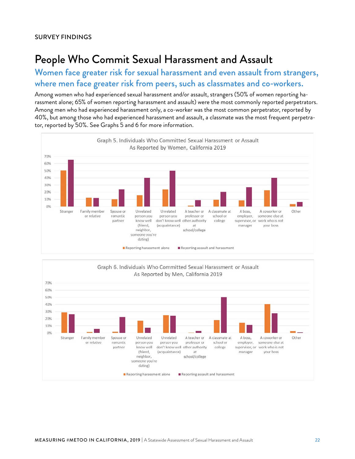# <span id="page-21-0"></span>People Who Commit Sexual Harassment and Assault

Women face greater risk for sexual harassment and even assault from strangers, where men face greater risk from peers, such as classmates and co-workers.

Among women who had experienced sexual harassment and/or assault, strangers (50% of women reporting harassment alone; 65% of women reporting harassment and assault) were the most commonly reported perpetrators. Among men who had experienced harassment only, a co-worker was the most common perpetrator, reported by 40%, but among those who had experienced harassment and assault, a classmate was the most frequent perpetrator, reported by 50%. See Graphs 5 and 6 for more information.



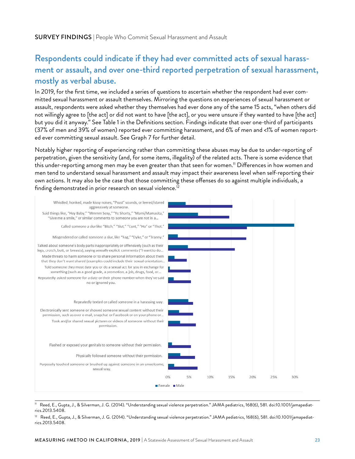# Respondents could indicate if they had ever committed acts of sexual harassment or assault, and over one-third reported perpetration of sexual harassment, mostly as verbal abuse.

In 2019, for the first time, we included a series of questions to ascertain whether the respondent had ever committed sexual harassment or assault themselves. Mirroring the questions on experiences of sexual harassment or assault, respondents were asked whether they themselves had ever done any of the same 15 acts, "when others did not willingly agree to [the act] or did not want to have [the act], or you were unsure if they wanted to have [the act] but you did it anyway." See Table 1 in the Definitions section. Findings indicate that over one-third of participants (37% of men and 39% of women) reported ever committing harassment, and 6% of men and <1% of women reported ever committing sexual assault. See Graph 7 for further detail.

Notably higher reporting of experiencing rather than committing these abuses may be due to under-reporting of perpetration, given the sensitivity (and, for some items, illegality) of the related acts. There is some evidence that this under-reporting among men may be even greater than that seen for women.<sup>11</sup> Differences in how women and men tend to understand sexual harassment and assault may impact their awareness level when self-reporting their own actions. It may also be the case that those committing these offenses do so against multiple individuals, a finding demonstrated in prior research on sexual violence.<sup>12</sup>



11 Reed, E., Gupta, J., & Silverman, J. G. (2014). "Understanding sexual violence perpetration." JAMA pediatrics, 168(6), 581. doi:10.1001/jamapediatrics.2013.5408.

<sup>12</sup> Reed, E., Gupta, J., & Silverman, J. G. (2014). "Understanding sexual violence perpetration." JAMA pediatrics, 168(6), 581. doi:10.1001/jamapediatrics.2013.5408.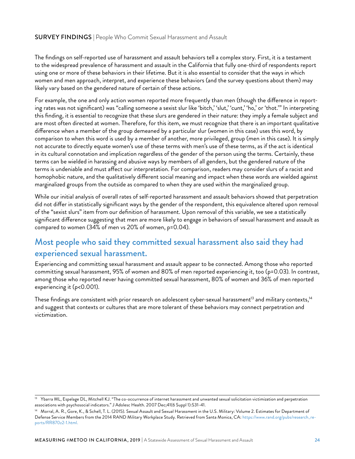#### SURVEY FINDINGS | People Who Commit Sexual Harassment and Assault

The findings on self-reported use of harassment and assault behaviors tell a complex story. First, it is a testament to the widespread prevalence of harassment and assault in the California that fully one-third of respondents report using one or more of these behaviors in their lifetime. But it is also essential to consider that the ways in which women and men approach, interpret, and experience these behaviors (and the survey questions about them) may likely vary based on the gendered nature of certain of these actions.

For example, the one and only action women reported more frequently than men (though the difference in reporting rates was not significant) was "calling someone a sexist slur like 'bitch,' 'slut,' 'cunt,' 'ho,' or 'thot.'" In interpreting this finding, it is essential to recognize that these slurs are gendered in their nature: they imply a female subject and are most often directed at women. Therefore, for this item, we must recognize that there is an important qualitative difference when a member of the group demeaned by a particular slur (women in this case) uses this word, by comparison to when this word is used by a member of another, more privileged, group (men in this case). It is simply not accurate to directly equate women's use of these terms with men's use of these terms, as if the act is identical in its cultural connotation and implication regardless of the gender of the person using the terms. Certainly, these terms can be wielded in harassing and abusive ways by members of all genders, but the gendered nature of the terms is undeniable and must affect our interpretation. For comparison, readers may consider slurs of a racist and homophobic nature, and the qualitatively different social meaning and impact when these words are wielded against marginalized groups from the outside as compared to when they are used within the marginalized group.

While our initial analysis of overall rates of self-reported harassment and assault behaviors showed that perpetration did not differ in statistically significant ways by the gender of the respondent, this equivalence altered upon removal of the "sexist slurs" item from our definition of harassment. Upon removal of this variable, we see a statistically significant difference suggesting that men are more likely to engage in behaviors of sexual harassment and assault as compared to women (34% of men vs 20% of women, p=0.04).

### Most people who said they committed sexual harassment also said they had experienced sexual harassment.

Experiencing and committing sexual harassment and assault appear to be connected. Among those who reported committing sexual harassment, 95% of women and 80% of men reported experiencing it, too (p=0.03). In contrast, among those who reported never having committed sexual harassment, 80% of women and 36% of men reported experiencing it (p<0.001).

These findings are consistent with prior research on adolescent cyber-sexual harassment<sup>13</sup> and military contexts,<sup>14</sup> and suggest that contexts or cultures that are more tolerant of these behaviors may connect perpetration and victimization.

<sup>&</sup>lt;sup>13</sup> Ybarra ML, Espelage DL, Mitchell KJ. "The co-occurrence of internet harassment and unwanted sexual solicitation victimization and perpetration associations with psychosocial indicators." J Adolesc Health. 2007 Dec;41(6 Suppl 1):S31-41.

<sup>&</sup>lt;sup>14</sup> Morral, A. R., Gore, K., & Schell, T. L. (2015). Sexual Assault and Sexual Harassment in the U.S. Military: Volume 2. Estimates for Department of Defense Service Members from the 2014 RAND Military Workplace Study. Retrieved from Santa Monica, CA: [https://www.rand.org/pubs/research\\_re](https://www.rand.org/pubs/research_reports/RR870z2-1.html)[ports/RR870z2-1.html](https://www.rand.org/pubs/research_reports/RR870z2-1.html).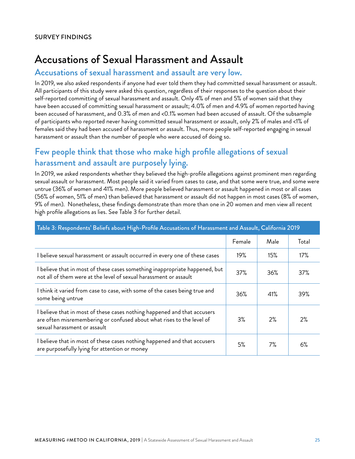# <span id="page-24-0"></span>Accusations of Sexual Harassment and Assault

### Accusations of sexual harassment and assault are very low.

In 2019, we also asked respondents if anyone had ever told them they had committed sexual harassment or assault. All participants of this study were asked this question, regardless of their responses to the question about their self-reported committing of sexual harassment and assault. Only 4% of men and 5% of women said that they have been accused of committing sexual harassment or assault; 4.0% of men and 4.9% of women reported having been accused of harassment, and 0.3% of men and <0.1% women had been accused of assault. Of the subsample of participants who reported never having committed sexual harassment or assault, only 2% of males and <1% of females said they had been accused of harassment or assault. Thus, more people self-reported engaging in sexual harassment or assault than the number of people who were accused of doing so.

# Few people think that those who make high profile allegations of sexual harassment and assault are purposely lying.

In 2019, we asked respondents whether they believed the high-profile allegations against prominent men regarding sexual assault or harassment. Most people said it varied from cases to case, and that some were true, and some were untrue (36% of women and 41% men). More people believed harassment or assault happened in most or all cases (56% of women, 51% of men) than believed that harassment or assault did not happen in most cases (8% of women, 9% of men). Nonetheless, these findings demonstrate than more than one in 20 women and men view all recent high profile allegations as lies. See Table 3 for further detail.

|                                                                                                                                                                                   | Female | Male | Total |
|-----------------------------------------------------------------------------------------------------------------------------------------------------------------------------------|--------|------|-------|
| I believe sexual harassment or assault occurred in every one of these cases                                                                                                       | 19%    | 15%  | 17%   |
| I believe that in most of these cases something inappropriate happened, but<br>not all of them were at the level of sexual harassment or assault                                  | 37%    | 36%  | 37%   |
| I think it varied from case to case, with some of the cases being true and<br>some being untrue                                                                                   | 36%    | 41%  | 39%   |
| I believe that in most of these cases nothing happened and that accusers<br>are often misremembering or confused about what rises to the level of<br>sexual harassment or assault | 3%     | 2%   | 2%    |
| I believe that in most of these cases nothing happened and that accusers<br>are purposefully lying for attention or money                                                         | 5%     | 7%   | 6%    |

#### Table 3: Respondents' Beliefs about High-Profile Accusations of Harassment and Assault, California 2019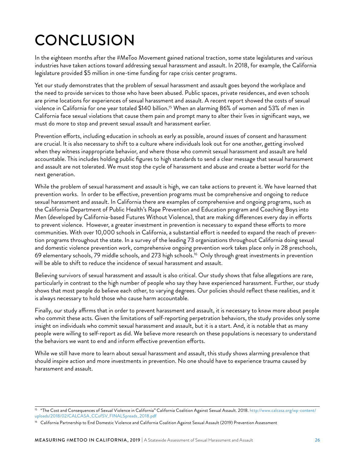# <span id="page-25-0"></span>**CONCLUSION**

In the eighteen months after the #MeToo Movement gained national traction, some state legislatures and various industries have taken actions toward addressing sexual harassment and assault. In 2018, for example, the California legislature provided \$5 million in one-time funding for rape crisis center programs.

Yet our study demonstrates that the problem of sexual harassment and assault goes beyond the workplace and the need to provide services to those who have been abused. Public spaces, private residences, and even schools are prime locations for experiences of sexual harassment and assault. A recent report showed the costs of sexual violence in California for one year totaled \$140 billion.15 When an alarming 86% of women and 53% of men in California face sexual violations that cause them pain and prompt many to alter their lives in significant ways, we must do more to stop and prevent sexual assault and harassment earlier.

Prevention efforts, including education in schools as early as possible, around issues of consent and harassment are crucial. It is also necessary to shift to a culture where individuals look out for one another, getting involved when they witness inappropriate behavior, and where those who commit sexual harassment and assault are held accountable. This includes holding public figures to high standards to send a clear message that sexual harassment and assault are not tolerated. We must stop the cycle of harassment and abuse and create a better world for the next generation.

While the problem of sexual harassment and assault is high, we can take actions to prevent it. We have learned that prevention works. In order to be effective, prevention programs must be comprehensive and ongoing to reduce sexual harassment and assault. In California there are examples of comprehensive and ongoing programs, such as the California Department of Public Health's Rape Prevention and Education program and Coaching Boys into Men (developed by California-based Futures Without Violence), that are making differences every day in efforts to prevent violence. However, a greater investment in prevention is necessary to expand these efforts to more communities. With over 10,000 schools in California, a substantial effort is needed to expand the reach of prevention programs throughout the state. In a survey of the leading 73 organizations throughout California doing sexual and domestic violence prevention work, comprehensive ongoing prevention work takes place only in 28 preschools, 69 elementary schools, 79 middle schools, and 273 high schools.16 Only through great investments in prevention will be able to shift to reduce the incidence of sexual harassment and assault.

Believing survivors of sexual harassment and assault is also critical. Our study shows that false allegations are rare, particularly in contrast to the high number of people who say they have experienced harassment. Further, our study shows that most people do believe each other, to varying degrees. Our policies should reflect these realities, and it is always necessary to hold those who cause harm accountable.

Finally, our study affirms that in order to prevent harassment and assault, it is necessary to know more about people who commit these acts. Given the limitations of self-reporting perpetration behaviors, the study provides only some insight on individuals who commit sexual harassment and assault, but it is a start. And, it is notable that as many people were willing to self-report as did. We believe more research on these populations is necessary to understand the behaviors we want to end and inform effective prevention efforts.

While we still have more to learn about sexual harassment and assault, this study shows alarming prevalence that should inspire action and more investments in prevention. No one should have to experience trauma caused by harassment and assault.

<sup>15 &</sup>quot;The Cost and Consequences of Sexual Violence in California" California Coalition Against Sexual Assault. 2018. [http://www.calcasa.org/wp-content/](http://www.calcasa.org/wp-content/uploads/2018/02/CALCASA_CCofSV_FINALSpreads_2018.pdf) [uploads/2018/02/CALCASA\\_CCofSV\\_FINALSpreads\\_2018.pdf](http://www.calcasa.org/wp-content/uploads/2018/02/CALCASA_CCofSV_FINALSpreads_2018.pdf)

<sup>&</sup>lt;sup>16</sup> California Partnership to End Domestic Violence and California Coalition Against Sexual Assault (2019) Prevention Assessment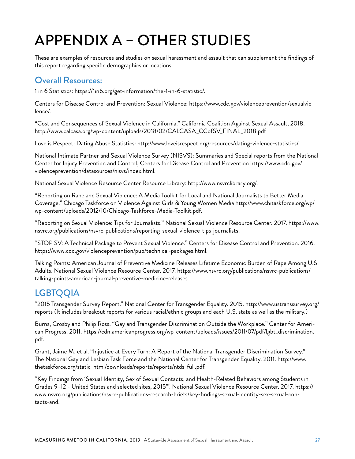# <span id="page-26-0"></span>APPENDIX A – OTHER STUDIES

These are examples of resources and studies on sexual harassment and assault that can supplement the findings of this report regarding specific demographics or locations.

## Overall Resources:

1 in 6 Statistics: [https://1in6.org/get-information/the-1-in-6-statistic/.](https://1in6.org/get-information/the-1-in-6-statistic/)

Centers for Disease Control and Prevention: Sexual Violence: [https://www.cdc.gov/violenceprevention/sexualvio](https://www.cdc.gov/violenceprevention/sexualviolence/)[lence/](https://www.cdc.gov/violenceprevention/sexualviolence/).

"Cost and Consequences of Sexual Violence in California." California Coalition Against Sexual Assault, 2018. http://www.calcasa.org/wp-content/uploads/2018/02/CALCASA\_CCofSV\_FINAL\_2018.pdf

Love is Respect: Dating Abuse Statistics: [http://www.loveisrespect.org/resources/dating-violence-statistics/.](http://www.loveisrespect.org/resources/dating-violence-statistics/)

National Intimate Partner and Sexual Violence Survey (NISVS): Summaries and Special reports from the National Center for Injury Prevention and Control, Centers for Disease Control and Prevention [https://www.cdc.gov/](https://www.cdc.gov/violenceprevention/datasources/nisvs/index.html) [violenceprevention/datasources/nisvs/index.html](https://www.cdc.gov/violenceprevention/datasources/nisvs/index.html).

National Sexual Violence Resource Center Resource Library:<http://www.nsvrclibrary.org/>.

"Reporting on Rape and Sexual Violence: A Media Toolkit for Local and National Journalists to Better Media Coverage." Chicago Taskforce on Violence Against Girls & Young Women Media [http://www.chitaskforce.org/wp/](http://www.chitaskforce.org/wp/wp-content/uploads/2012/10/Chicago-Taskforce-Media-Toolkit.pdf) [wp-content/uploads/2012/10/Chicago-Taskforce-Media-Toolkit.pdf](http://www.chitaskforce.org/wp/wp-content/uploads/2012/10/Chicago-Taskforce-Media-Toolkit.pdf).

"Reporting on Sexual Violence: Tips for Journalists." National Sexual Violence Resource Center. 2017. [https://www.](https://www.nsvrc.org/publications/nsvrc-publications/reporting-sexual-violence-tips-journalists) [nsvrc.org/publications/nsvrc-publications/reporting-sexual-violence-tips-journalists](https://www.nsvrc.org/publications/nsvrc-publications/reporting-sexual-violence-tips-journalists).

"STOP SV: A Technical Package to Prevent Sexual Violence." Centers for Disease Control and Prevention. 2016. [https://www.cdc.gov/violenceprevention/pub/technical-packages.html.](https://www.cdc.gov/violenceprevention/pub/technical-packages.html)

Talking Points: American Journal of Preventive Medicine Releases Lifetime Economic Burden of Rape Among U.S. Adults. National Sexual Violence Resource Center. 2017. [https://www.nsvrc.org/publications/nsvrc-publications/](https://www.nsvrc.org/publications/nsvrc-publications/talking-points-american-journal-preventive-medicine-releases) [talking-points-american-journal-preventive-medicine-releases](https://www.nsvrc.org/publications/nsvrc-publications/talking-points-american-journal-preventive-medicine-releases) 

# **LGBTQQIA**

"2015 Transgender Survey Report." National Center for Transgender Equality. 2015. [http://www.ustranssurvey.org/](http://www.ustranssurvey.org/reports) [reports](http://www.ustranssurvey.org/reports) (It includes breakout reports for various racial/ethnic groups and each U.S. state as well as the military.)

Burns, Crosby and Philip Ross. "Gay and Transgender Discrimination Outside the Workplace." Center for American Progress. 2011. [https://cdn.americanprogress.org/wp-content/uploads/issues/2011/07/pdf/lgbt\\_discrimination.](https://cdn.americanprogress.org/wp-content/uploads/issues/2011/07/pdf/lgbt_discrimination.pdf) [pdf.](https://cdn.americanprogress.org/wp-content/uploads/issues/2011/07/pdf/lgbt_discrimination.pdf)

Grant, Jaime M. et al. "Injustice at Every Turn: A Report of the National Transgender Discrimination Survey." The National Gay and Lesbian Task Force and the National Center for Transgender Equality. 2011. [http://www.](http://www.thetaskforce.org/static_html/downloads/reports/reports/ntds_full.pdf) [thetaskforce.org/static\\_html/downloads/reports/reports/ntds\\_full.pdf](http://www.thetaskforce.org/static_html/downloads/reports/reports/ntds_full.pdf).

"Key Findings from 'Sexual Identity, Sex of Sexual Contacts, and Health-Related Behaviors among Students in Grades 9–12 - United States and selected sites, 2015'". National Sexual Violence Resource Center. 2017. [https://](https://www.nsvrc.org/publications/nsvrc-publications-research-briefs/key-findings-sexual-identity-sex-sexual-contacts-and) [www.nsvrc.org/publications/nsvrc-publications-research-briefs/key-findings-sexual-identity-sex-sexual-con](https://www.nsvrc.org/publications/nsvrc-publications-research-briefs/key-findings-sexual-identity-sex-sexual-contacts-and)[tacts-and](https://www.nsvrc.org/publications/nsvrc-publications-research-briefs/key-findings-sexual-identity-sex-sexual-contacts-and).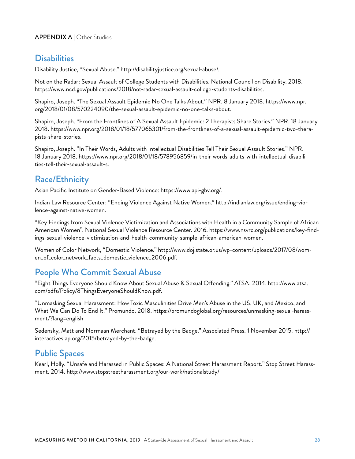# **Disabilities**

Disability Justice, "Sexual Abuse." [http://disabilityjustice.org/sexual-abuse/.](http://disabilityjustice.org/sexual-abuse/)

Not on the Radar: Sexual Assault of College Students with Disabilities. National Council on Disability. 2018. <https://www.ncd.gov/publications/2018/not-radar-sexual-assault-college-students-disabilities>.

Shapiro, Joseph. "The Sexual Assault Epidemic No One Talks About." NPR. 8 January 2018. [https://www.npr.](https://www.npr.org/2018/01/08/570224090/the-sexual-assault-epidemic-no-one-talks-about) [org/2018/01/08/570224090/the-sexual-assault-epidemic-no-one-talks-about.](https://www.npr.org/2018/01/08/570224090/the-sexual-assault-epidemic-no-one-talks-about)

Shapiro, Joseph. "From the Frontlines of A Sexual Assault Epidemic: 2 Therapists Share Stories." NPR. 18 January 2018. [https://www.npr.org/2018/01/18/577065301/from-the-frontlines-of-a-sexual-assault-epidemic-two-thera](https://www.npr.org/2018/01/18/577065301/from-the-frontlines-of-a-sexual-assault-epidemic-two-therapists-share-stories)[pists-share-stories](https://www.npr.org/2018/01/18/577065301/from-the-frontlines-of-a-sexual-assault-epidemic-two-therapists-share-stories).

Shapiro, Joseph. "In Their Words, Adults with Intellectual Disabilities Tell Their Sexual Assault Stories." NPR. 18 January 2018. [https://www.npr.org/2018/01/18/578956859/in-their-words-adults-with-intellectual-disabili](https://www.npr.org/2018/01/18/578956859/in-their-words-adults-with-intellectual-disabilities-tell-their-sexual-assault-s)[ties-tell-their-sexual-assault-s.](https://www.npr.org/2018/01/18/578956859/in-their-words-adults-with-intellectual-disabilities-tell-their-sexual-assault-s)

# Race/Ethnicity

Asian Pacific Institute on Gender-Based Violence:<https://www.api-gbv.org/>.

Indian Law Resource Center: "Ending Violence Against Native Women." [http://indianlaw.org/issue/ending-vio](http://indianlaw.org/issue/ending-violence-against-native-women)[lence-against-native-women.](http://indianlaw.org/issue/ending-violence-against-native-women)

"Key Findings from Sexual Violence Victimization and Associations with Health in a Community Sample of African American Women". National Sexual Violence Resource Center. 2016. [https://www.nsvrc.org/publications/key-find](https://www.nsvrc.org/publications/key-findings-sexual-violence-victimization-and-health-community-sample-african-american-women)[ings-sexual-violence-victimization-and-health-community-sample-african-american-women.](https://www.nsvrc.org/publications/key-findings-sexual-violence-victimization-and-health-community-sample-african-american-women)

Women of Color Network, "Domestic Violence." [http://www.doj.state.or.us/wp-content/uploads/2017/08/wom](http://www.doj.state.or.us/wp-content/uploads/2017/08/women_of_color_network_facts_domestic_violence_2006.pdf)[en\\_of\\_color\\_network\\_facts\\_domestic\\_violence\\_2006.pdf](http://www.doj.state.or.us/wp-content/uploads/2017/08/women_of_color_network_facts_domestic_violence_2006.pdf).

# People Who Commit Sexual Abuse

"Eight Things Everyone Should Know About Sexual Abuse & Sexual Offending." ATSA. 2014. [http://www.atsa.](http://www.atsa.com/pdfs/Policy/8ThingsEveryoneShouldKnow.pdf) [com/pdfs/Policy/8ThingsEveryoneShouldKnow.pdf](http://www.atsa.com/pdfs/Policy/8ThingsEveryoneShouldKnow.pdf).

"Unmasking Sexual Harassment: How Toxic Masculinities Drive Men's Abuse in the US, UK, and Mexico, and What We Can Do To End It." Promundo. 2018. [https://promundoglobal.org/resources/unmasking-sexual-harass](https://promundoglobal.org/resources/unmasking-sexual-harassment/?lang=english)[ment/?lang=english](https://promundoglobal.org/resources/unmasking-sexual-harassment/?lang=english) 

Sedensky, Matt and Normaan Merchant. "Betrayed by the Badge." Associated Press. 1 November 2015. [http://](http://interactives.ap.org/2015/betrayed-by-the-badge) [interactives.ap.org/2015/betrayed-by-the-badge.](http://interactives.ap.org/2015/betrayed-by-the-badge)

## Public Spaces

Kearl, Holly. "Unsafe and Harassed in Public Spaces: A National Street Harassment Report." Stop Street Harassment. 2014.<http://www.stopstreetharassment.org/our-work/nationalstudy/>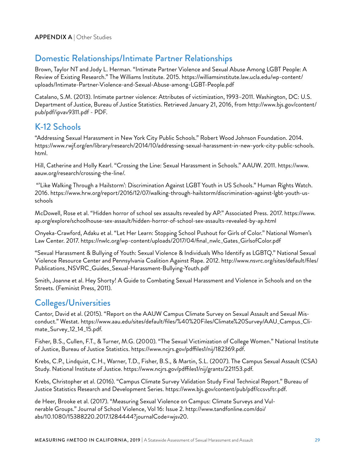# Domestic Relationships/Intimate Partner Relationships

Brown, Taylor NT and Jody L. Herman. "Intimate Partner Violence and Sexual Abuse Among LGBT People: A Review of Existing Research." The Williams Institute. 2015. [https://williamsinstitute.law.ucla.edu/wp-content/](https://williamsinstitute.law.ucla.edu/wp-content/uploads/Intimate-Partner-Violence-and-Sexual-Abuse-among-LGBT-People.pdf) [uploads/Intimate-Partner-Violence-and-Sexual-Abuse-among-LGBT-People.pdf](https://williamsinstitute.law.ucla.edu/wp-content/uploads/Intimate-Partner-Violence-and-Sexual-Abuse-among-LGBT-People.pdf) 

Catalano, S.M. (2013). Intimate partner violence: Attributes of victimization, 1993–2011. Washington, DC: U.S. Department of Justice, Bureau of Justice Statistics. Retrieved January 21, 2016, from [http://www.bjs.gov/content/](http://www.bjs.gov/content/pub/pdf/ipvav9311.pdf) [pub/pdf/ipvav9311.pdf - PDF.](http://www.bjs.gov/content/pub/pdf/ipvav9311.pdf)

## K-12 Schools

"Addressing Sexual Harassment in New York City Public Schools." Robert Wood Johnson Foundation. 2014. [https://www.rwjf.org/en/library/research/2014/10/addressing-sexual-harassment-in-new-york-city-public-schools.](https://www.rwjf.org/en/library/research/2014/10/addressing-sexual-harassment-in-new-york-city-public-schools.html) [html.](https://www.rwjf.org/en/library/research/2014/10/addressing-sexual-harassment-in-new-york-city-public-schools.html)

Hill, Catherine and Holly Kearl. "Crossing the Line: Sexual Harassment in Schools." AAUW. 2011. [https://www.](https://www.aauw.org/research/crossing-the-line/) [aauw.org/research/crossing-the-line/.](https://www.aauw.org/research/crossing-the-line/)

 "'Like Walking Through a Hailstorm': Discrimination Against LGBT Youth in US Schools." Human Rights Watch. 2016. [https://www.hrw.org/report/2016/12/07/walking-through-hailstorm/discrimination-against-lgbt-youth-us](https://www.hrw.org/report/2016/12/07/walking-through-hailstorm/discrimination-against-lgbt-youth-us-schools)[schools](https://www.hrw.org/report/2016/12/07/walking-through-hailstorm/discrimination-against-lgbt-youth-us-schools)

McDowell, Rose et al. "Hidden horror of school sex assaults revealed by AP." Associated Press. 2017. [https://www.](https://www.ap.org/explore/schoolhouse-sex-assault/hidden-horror-of-school-sex-assaults-revealed-by-ap.html) [ap.org/explore/schoolhouse-sex-assault/hidden-horror-of-school-sex-assaults-revealed-by-ap.html](https://www.ap.org/explore/schoolhouse-sex-assault/hidden-horror-of-school-sex-assaults-revealed-by-ap.html)

Onyeka-Crawford, Adaku et al. "Let Her Learn: Stopping School Pushout for Girls of Color." National Women's Law Center. 2017. [https://nwlc.org/wp-content/uploads/2017/04/final\\_nwlc\\_Gates\\_GirlsofColor.pdf](https://nwlc.org/wp-content/uploads/2017/04/final_nwlc_Gates_GirlsofColor.pdf) 

"Sexual Harassment & Bullying of Youth: Sexual Violence & Individuals Who Identify as LGBTQ." National Sexual Violence Resource Center and Pennsylvania Coalition Against Rape. 2012. [http://www.nsvrc.org/sites/default/files/](http://www.nsvrc.org/sites/default/files/Publications_NSVRC_Guides_Sexual-Harassment-Bullying-Youth.pdf) [Publications\\_NSVRC\\_Guides\\_Sexual-Harassment-Bullying-Youth.pdf](http://www.nsvrc.org/sites/default/files/Publications_NSVRC_Guides_Sexual-Harassment-Bullying-Youth.pdf) 

Smith, Joanne et al. Hey Shorty! A Guide to Combating Sexual Harassment and Violence in Schools and on the Streets. (Feminist Press, 2011).

## Colleges/Universities

Cantor, David et al. (2015). "Report on the AAUW Campus Climate Survey on Sexual Assault and Sexual Misconduct." Westat. [https://www.aau.edu/sites/default/files/%40%20Files/Climate%20Survey/AAU\\_Campus\\_Cli](https://www.aau.edu/sites/default/files/%40%20Files/Climate%20Survey/AAU_Campus_Climate_Survey_12_14_15.pdf)[mate\\_Survey\\_12\\_14\\_15.pdf](https://www.aau.edu/sites/default/files/%40%20Files/Climate%20Survey/AAU_Campus_Climate_Survey_12_14_15.pdf).

Fisher, B.S., Cullen, F.T., & Turner, M.G. (2000). "The Sexual Victimization of College Women." National Institute of Justice, Bureau of Justice Statistics. [https://www.ncjrs.gov/pdffiles1/nij/182369.pdf.](https://www.ncjrs.gov/pdffiles1/nij/182369.pdf)

Krebs, C.P., Lindquist, C.H., Warner, T.D., Fisher, B.S., & Martin, S.L. (2007). The Campus Sexual Assault (CSA) Study. National Institute of Justice. [https://www.ncjrs.gov/pdffiles1/nij/grants/221153.pdf.](https://www.ncjrs.gov/pdffiles1/nij/grants/221153.pdf)

Krebs, Christopher et al. (2016). "Campus Climate Survey Validation Study Final Technical Report." Bureau of Justice Statistics Research and Development Series. [https://www.bjs.gov/content/pub/pdf/ccsvsftr.pdf.](https://www.bjs.gov/content/pub/pdf/ccsvsftr.pdf)

de Heer, Brooke et al. (2017). "Measuring Sexual Violence on Campus: Climate Surveys and Vulnerable Groups." Journal of School Violence, Vol 16: Issue 2. [http://www.tandfonline.com/doi/](http://www.tandfonline.com/doi/abs/10.1080/15388220.2017.1284444?journalCode=wjsv20) [abs/10.1080/15388220.2017.1284444?journalCode=wjsv20.](http://www.tandfonline.com/doi/abs/10.1080/15388220.2017.1284444?journalCode=wjsv20)